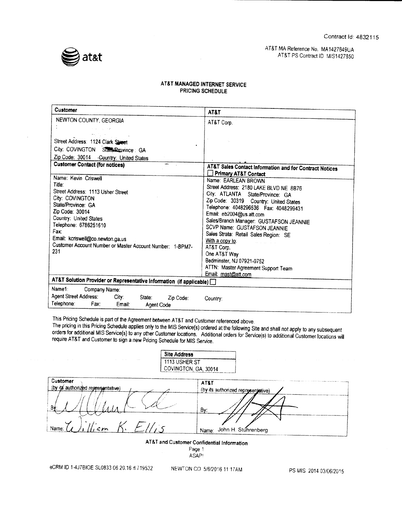

### AT&T MA Reference No. MA1427849UA AT&T PS Contract ID MIS1427850

## AT&T MANAGED INTERNET SERVICE PRICING SCHEDULE

| NEWTON COUNTY, GEORGIA<br>AT&T Corp.<br>and company<br>Street Address: 1124 Clark Street<br>City: COVINGTON State/Province: GA<br>Zip Code: 30014 - Geuntry: United States<br><b>Customer Contact (for notices)</b><br>AT&T Sales Contact Information and for Contract Notices<br><b>Primary AT&amp;T Contact</b><br>Name: Kevin Criswell<br>Name: EARLEAN BROWN<br>Title:<br>Street Address: 2180 LAKE BLVD NE 8B76<br>Street Address: 1113 Usher Street<br>City: ATLANTA State/Province: GA<br>City: COVINGTON<br>Zip Code: 30319 Country: United States<br>State/Province: GA<br>Telephone: 4048296536  Fax: 4048299431<br>Zip Code: 30014<br>Email: eb2004@us.att.com<br>Country: United States<br>Sales/Branch Manager: GUSTAFSON JEANNIE<br>Telephone: 6786251610<br>SCVP Name: GUSTAFSON JEANNIE<br>Fax:<br>Sales Strata: Retail Sales Region: SE<br>Email: kcriswell@co.newton.ga.us<br>With a copy to:<br>Customer Account Number or Master Account Number: 1-BPM7-<br>AT&T Corp.<br>231<br>One AT&T Way<br>Bedminster, NJ 07921-0752<br>ATTN: Master Agreement Support Team<br>Email: mast@att.com<br>AT&T Solution Provider or Representative Information (if applicable) [<br>Name1:<br>Company Name:<br>Agent Street Address:<br>City:<br>State:<br>Zip Code:<br>Country:<br>Telephone:<br>Fax:<br>Email:<br>Agent Code | <b>Customer</b> | AT&T |
|--------------------------------------------------------------------------------------------------------------------------------------------------------------------------------------------------------------------------------------------------------------------------------------------------------------------------------------------------------------------------------------------------------------------------------------------------------------------------------------------------------------------------------------------------------------------------------------------------------------------------------------------------------------------------------------------------------------------------------------------------------------------------------------------------------------------------------------------------------------------------------------------------------------------------------------------------------------------------------------------------------------------------------------------------------------------------------------------------------------------------------------------------------------------------------------------------------------------------------------------------------------------------------------------------------------------------------------|-----------------|------|
|                                                                                                                                                                                                                                                                                                                                                                                                                                                                                                                                                                                                                                                                                                                                                                                                                                                                                                                                                                                                                                                                                                                                                                                                                                                                                                                                      |                 |      |
|                                                                                                                                                                                                                                                                                                                                                                                                                                                                                                                                                                                                                                                                                                                                                                                                                                                                                                                                                                                                                                                                                                                                                                                                                                                                                                                                      |                 |      |
|                                                                                                                                                                                                                                                                                                                                                                                                                                                                                                                                                                                                                                                                                                                                                                                                                                                                                                                                                                                                                                                                                                                                                                                                                                                                                                                                      |                 |      |
|                                                                                                                                                                                                                                                                                                                                                                                                                                                                                                                                                                                                                                                                                                                                                                                                                                                                                                                                                                                                                                                                                                                                                                                                                                                                                                                                      |                 |      |
|                                                                                                                                                                                                                                                                                                                                                                                                                                                                                                                                                                                                                                                                                                                                                                                                                                                                                                                                                                                                                                                                                                                                                                                                                                                                                                                                      |                 |      |
|                                                                                                                                                                                                                                                                                                                                                                                                                                                                                                                                                                                                                                                                                                                                                                                                                                                                                                                                                                                                                                                                                                                                                                                                                                                                                                                                      |                 |      |
|                                                                                                                                                                                                                                                                                                                                                                                                                                                                                                                                                                                                                                                                                                                                                                                                                                                                                                                                                                                                                                                                                                                                                                                                                                                                                                                                      |                 |      |
|                                                                                                                                                                                                                                                                                                                                                                                                                                                                                                                                                                                                                                                                                                                                                                                                                                                                                                                                                                                                                                                                                                                                                                                                                                                                                                                                      |                 |      |
|                                                                                                                                                                                                                                                                                                                                                                                                                                                                                                                                                                                                                                                                                                                                                                                                                                                                                                                                                                                                                                                                                                                                                                                                                                                                                                                                      |                 |      |
|                                                                                                                                                                                                                                                                                                                                                                                                                                                                                                                                                                                                                                                                                                                                                                                                                                                                                                                                                                                                                                                                                                                                                                                                                                                                                                                                      |                 |      |
|                                                                                                                                                                                                                                                                                                                                                                                                                                                                                                                                                                                                                                                                                                                                                                                                                                                                                                                                                                                                                                                                                                                                                                                                                                                                                                                                      |                 |      |
|                                                                                                                                                                                                                                                                                                                                                                                                                                                                                                                                                                                                                                                                                                                                                                                                                                                                                                                                                                                                                                                                                                                                                                                                                                                                                                                                      |                 |      |
|                                                                                                                                                                                                                                                                                                                                                                                                                                                                                                                                                                                                                                                                                                                                                                                                                                                                                                                                                                                                                                                                                                                                                                                                                                                                                                                                      |                 |      |
|                                                                                                                                                                                                                                                                                                                                                                                                                                                                                                                                                                                                                                                                                                                                                                                                                                                                                                                                                                                                                                                                                                                                                                                                                                                                                                                                      |                 |      |
|                                                                                                                                                                                                                                                                                                                                                                                                                                                                                                                                                                                                                                                                                                                                                                                                                                                                                                                                                                                                                                                                                                                                                                                                                                                                                                                                      |                 |      |
|                                                                                                                                                                                                                                                                                                                                                                                                                                                                                                                                                                                                                                                                                                                                                                                                                                                                                                                                                                                                                                                                                                                                                                                                                                                                                                                                      |                 |      |
|                                                                                                                                                                                                                                                                                                                                                                                                                                                                                                                                                                                                                                                                                                                                                                                                                                                                                                                                                                                                                                                                                                                                                                                                                                                                                                                                      |                 |      |
|                                                                                                                                                                                                                                                                                                                                                                                                                                                                                                                                                                                                                                                                                                                                                                                                                                                                                                                                                                                                                                                                                                                                                                                                                                                                                                                                      |                 |      |
|                                                                                                                                                                                                                                                                                                                                                                                                                                                                                                                                                                                                                                                                                                                                                                                                                                                                                                                                                                                                                                                                                                                                                                                                                                                                                                                                      |                 |      |
|                                                                                                                                                                                                                                                                                                                                                                                                                                                                                                                                                                                                                                                                                                                                                                                                                                                                                                                                                                                                                                                                                                                                                                                                                                                                                                                                      |                 |      |
|                                                                                                                                                                                                                                                                                                                                                                                                                                                                                                                                                                                                                                                                                                                                                                                                                                                                                                                                                                                                                                                                                                                                                                                                                                                                                                                                      |                 |      |
|                                                                                                                                                                                                                                                                                                                                                                                                                                                                                                                                                                                                                                                                                                                                                                                                                                                                                                                                                                                                                                                                                                                                                                                                                                                                                                                                      |                 |      |
|                                                                                                                                                                                                                                                                                                                                                                                                                                                                                                                                                                                                                                                                                                                                                                                                                                                                                                                                                                                                                                                                                                                                                                                                                                                                                                                                      |                 |      |
|                                                                                                                                                                                                                                                                                                                                                                                                                                                                                                                                                                                                                                                                                                                                                                                                                                                                                                                                                                                                                                                                                                                                                                                                                                                                                                                                      |                 |      |

This Pricing Schedule is part of the Agreement between AT&T and Customer referenced above.

The pricing in this Pricing Schedule applies only to the MIS Service(s) ordered at the following Site and shall not apply to any subsequent orders for additional MIS Service(s) to any other Customer locations. Additional orders for Service(s) to additional Customer locations will require AT&T and Customer to sign <sup>a</sup> new Pricing Schedule for MIS Service.

|                                    | <b>Site Address</b>                   |                                    |
|------------------------------------|---------------------------------------|------------------------------------|
|                                    | 1113 USHER ST<br>COVINGTON, GA, 30014 |                                    |
| Customer                           | AT&T                                  |                                    |
| (by its authorized regresentative) |                                       | (by its authorized representative) |
| Bi                                 | By:                                   |                                    |
| Name:                              | Name:                                 | John H. Stuhrenberg                |
| ----                               |                                       |                                    |

AT&T and Customer Confidential Information

Page <sup>1</sup> ASAP!

eCRM ID 1-4J7BIOE SL0833 06.20.16 d 719532 NEWTON CO 5/6/2016 11:17AM PS MIS 2014 03/06/2015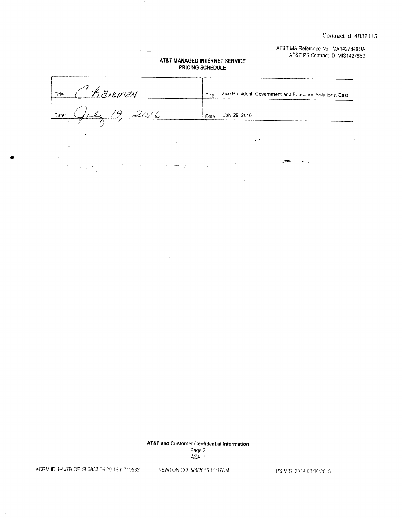AT&T MA Reference No. MA1427849UA AT&T PS Contract ID MIS1427850

 $\ddotsc$ 

### AT&T MANAGED INTERNET SERVICE PRICING SCHEDULE

 $\label{eq:1} \begin{split} \mathcal{L}_{\text{R}}(\mathcal{L}_{\text{max}}) = & \mathcal{L}_{\text{max}}(\mathcal{L}_{\text{max}}) \end{split}$ 

| วิสีเหตุสีน<br>Title: | Vice President, Government and Education Solutions, East<br>Title: |
|-----------------------|--------------------------------------------------------------------|
| Date:                 | July 29, 2016<br>Date:                                             |
|                       |                                                                    |

 $\mathbb{R}^n$  .

AT&T and Customer Confidential Information Page 2 ASAF!

eCRM ID 1-4. 17BIOE SL0833 06. 20.16 rt 719532 NEWTON CO 5/6/2016 11:17AM PS MIS 2014 03/06/2015

 $\bullet$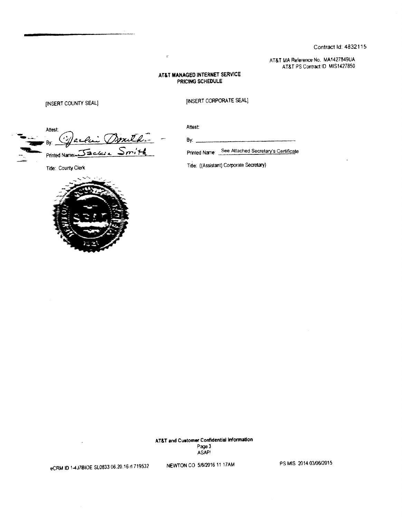Contract Id: 4832115

AT&T MA Reference No. MA1427849UA AT&T PS Contract ID MIS1427850

### AT&T MANAGED INTERNET SERVICE PRICING SCHEDULE

 $\mathbf{r}$ 

[INSERT COUNTY SEAL] **INSERT CORPORATE SEAL**]

Attest: Attest:  $By:$  yearch  $By:$ Printed Name:

the Gradien Community of the German Community of Printed Name: See Attached Secretary's Certificate

Title: County Clerk Title: ((Assistant) Corporate Secretary)



AT&T and Customer Confidential Information Page 3 ASAP!

eCRM ID 1-4J7BIOE SL0833 06.20.16 rt 719532 NEWTON CO 5/6/2016 11:17AM PS MIS 2014 03/06/2015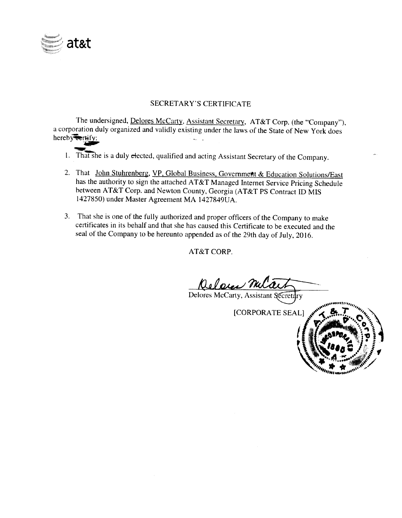

# SECRETARY'S CERTIFICATE

The undersigned, Delores McCarty, Assistant Secretary, AT&T Corp. (the "Company"), <sup>a</sup> corporation duly organized and validly existing under the laws of the State of New York does hereby<del>tertify:</del>

- tan<br>Se 1. That she is a duly crected, qualified and acting Assistant Secretary of the Company.
- 2. That John Stuhrenberg, VP, Global Business, Government & Education Solutions/East has the authority to sign the attached AT&T Managed Internet Service Pricing Schedule between AT&T Corp. and Newton County, Georgia (AT&T PS Contract ID MIS 1427850) under Master Agreement MA 1427849UA.
- 3. That she is one of the fully authorized and proper officers of the Company to make certificates in its behalf and that she has caused this Certificate to be executed and the seal of the Company to be hereunto appended as of the 29th day of July, 2016.

AT&T CORP.

Referen Mila

Delores McCarty, Assistant Secretary

CORPORATE SEAL]

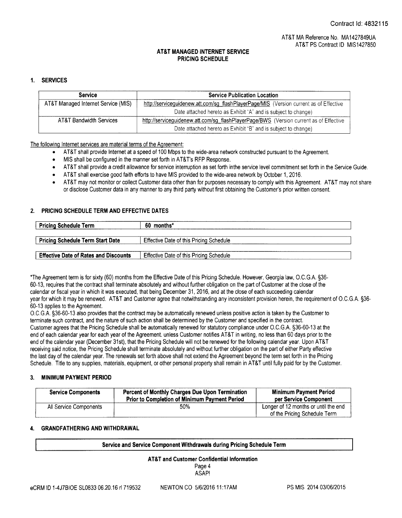### 1. SERVICES

| <b>Service</b>                      | <b>Service Publication Location</b>                                                    |  |
|-------------------------------------|----------------------------------------------------------------------------------------|--|
| AT&T Managed Internet Service (MIS) | http://serviceguidenew.att.com/sg_flashPlayerPage/MIS (Version current as of Effective |  |
|                                     | Date attached hereto as Exhibit "A" and is subject to change)                          |  |
| <b>AT&amp;T Bandwidth Services</b>  | http://serviceguidenew.att.com/sg_flashPlayerPage/BWS (Version current as of Effective |  |
|                                     | Date attached hereto as Exhibit "B" and is subject to change)                          |  |

The following Internet services are material terms of the Agreement:

- AT&T shall provide Internet at a speed of 100 Mbps to the wide- area network constructed pursuant to the Agreement.
- MIS shall be configured in the manner set forth in AT&T's RFP Response.  $\bullet$
- AT&T shall provide a credit allowance for service interruption as set forth inthe service level commitment set forth in the Service Guide.  $\bullet$
- AT&T shall exercise good faith efforts to have MIS provided to the wide- area network by October 1, 2016.
- AT&T may not monitor or collect Customer data other than for purposes necessary to comply with this Agreement. AT&T may not share or disclose Customer data in any manner to any third party without first obtaining the Customer' s prior written consent.

### 2. PRICING SCHEDULE TERM AND EFFECTIVE DATES

| <b>Pricing Schedule Term</b>                 | 60 months*                                     |
|----------------------------------------------|------------------------------------------------|
| <b>Pricing Schedule Term Start Date</b>      | <b>Effective Date of this Pricing Schedule</b> |
| <b>Effective Date of Rates and Discounts</b> | Effective Date of this Pricing Schedule        |

\*The Agreement term is for sixty (60) months from the Effective Date of this Pricing Schedule. However, Georgia law, O.C.G.A. § 36-60- 13, requires that the contract shall terminate absolutely and without further obligation on the part of Customer at the close of the calendar or fiscal year in which it was executed, that being December 31, 2016, and at the close of each succeeding calendar year for which it may be renewed. AT&T and Customer agree that notwithstanding any inconsistent provision herein, the requirement of O.C.G.A. § 36-60- 13 applies to the Agreement.

O. C. G. A.§ 36- 60- 13 also provides that the contract may be automatically renewed unless positive action is taken by the Customer to terminate such contract, and the nature of such action shall be determined by the Customer and specified in the contract. Customer agrees that the Pricing Schedule shall be automatically renewed for statutory compliance under O.C.G.A. §36-60-13 at the end of each calendar year for each year of the Agreement. unless Customer notifies AT&T in writing, no less than 60 days prior to the end of the calendar year (December 31st), that the Pricing Schedule will not be renewed for the following calendar year. Upon AT&T receiving said notice, the Pricing Schedule shall terminate absolutely and without further obligation on the part of either Party effective the last day of the calendar year. The renewals set forth above shall not extend the Agreement beyond the term set forth in the Pricing Schedule. Title to any supplies, materials, equipment, or other personal property shall remain in AT&T until fully paid for by the Customer.

#### 3. MINIMUM PAYMENT PERIOD

| <b>Service Components</b> | Percent of Monthly Charges Due Upon Termination<br><b>Prior to Completion of Minimum Payment Period</b> | <b>Minimum Payment Period</b><br>per Service Component               |
|---------------------------|---------------------------------------------------------------------------------------------------------|----------------------------------------------------------------------|
| All Service Components    | 50%                                                                                                     | Longer of 12 months or until the end<br>of the Pricing Schedule Term |

### 4. GRANDFATHERING AND WITHDRAWAL

#### Service and Service Component Withdrawals during Pricing Schedule Term

#### AT&T and Customer Confidential Information Page 4

ASAP!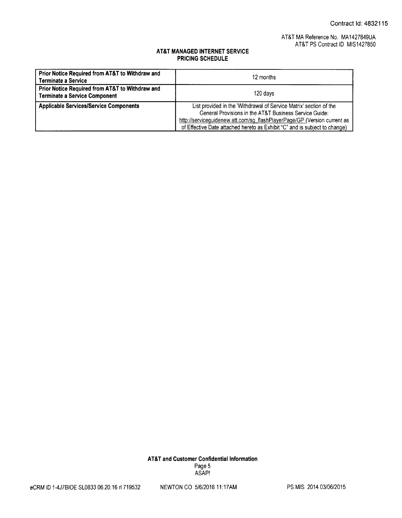## AT&T MA Reference No. MA1427849UA AT&T PS Contract ID MIS1427850

## AT&T MANAGED INTERNET SERVICE PRICING SCHEDULE

| Prior Notice Required from AT&T to Withdraw and<br><b>Terminate a Service</b>           | 12 months                                                                                                                                                                                                                                                                              |  |
|-----------------------------------------------------------------------------------------|----------------------------------------------------------------------------------------------------------------------------------------------------------------------------------------------------------------------------------------------------------------------------------------|--|
| Prior Notice Required from AT&T to Withdraw and<br><b>Terminate a Service Component</b> | 120 days                                                                                                                                                                                                                                                                               |  |
| <b>Applicable Services/Service Components</b>                                           | List provided in the 'Withdrawal of Service Matrix' section of the<br>General Provisions in the AT&T Business Service Guide:<br>http://serviceguidenew.att.com/sg_flashPlayerPage/GP (Version current as<br>of Effective Date attached hereto as Exhibit "C" and is subject to change) |  |

AT&T and Customer Confidential Information Page 5 ASAP!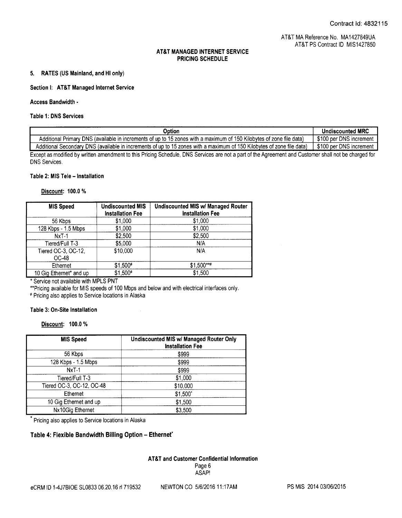### 5. RATES (US Mainland, and HI only)

### Section I: AT&T Managed Internet Service

#### Access Bandwidth-

#### Table 1: DNS Services

| Option                                                                                                                                               | <b>Undiscounted MRC</b> |
|------------------------------------------------------------------------------------------------------------------------------------------------------|-------------------------|
| Additional Primary DNS (available in increments of up to 15 zones with a maximum of 150 Kilobytes of zone file data)                                 | \$100 per DNS increment |
| Additional Secondary DNS (available in increments of up to 15 zones with a maximum of 150 Kilobytes of zone file data)                               | \$100 per DNS increment |
| Except as modified by written amendment to this Pricing Schedule, DNS Services are not a part of the Agreement and Customer shall not be charged for |                         |
| <b>DNS Services.</b>                                                                                                                                 |                         |

#### Table 2: MIS Tele— Installation

## Discount: 100.0%

| <b>MIS Speed</b>             | <b>Undiscounted MIS</b><br><b>Installation Fee</b> | <b>Undiscounted MIS w/ Managed Router</b><br><b>Installation Fee</b> |
|------------------------------|----------------------------------------------------|----------------------------------------------------------------------|
| 56 Kbps                      | \$1,000                                            | \$1,000                                                              |
| 128 Kbps - 1.5 Mbps          | \$1,000                                            | \$1,000                                                              |
| $NxT-1$                      | \$2,500                                            | \$2,500                                                              |
| Tiered/Full T-3              | \$5,000                                            | N/A                                                                  |
| Tiered OC-3, OC-12,<br>OC-48 | \$10,000                                           | N/A                                                                  |
| Ethernet                     | \$1,500#                                           | \$1,500***                                                           |
| 10 Gig Ethernet* and up      | \$1,500#                                           | \$1,500                                                              |

\* Service not available with MPLS PNT

Pricing available for MIS speeds of 100 Mbps and below and with electrical interfaces only.

 $\bar{\lambda}$ 

Pricing also applies to Service locations in Alaska

#### Table 3: On-Site Installation

Discount: 100.0 %

| <b>MIS Speed</b>          | <b>Undiscounted MIS w/ Managed Router Only</b><br><b>Installation Fee</b> |
|---------------------------|---------------------------------------------------------------------------|
| 56 Kbps                   | \$999                                                                     |
| 128 Kbps - 1.5 Mbps       | \$999                                                                     |
| $NxT-1$                   | \$999                                                                     |
| Tiered/Full T-3           | \$1,000                                                                   |
| Tiered OC-3, OC-12, OC-48 | \$10,000                                                                  |
| Ethernet                  | \$1,500'                                                                  |
| 10 Gig Ethernet and up    | \$1,500                                                                   |
| Nx10Gig Ethernet          | \$3,500                                                                   |

Pricing also applies to Service locations in Alaska

### Table 4: Flexible Bandwidth Billing Option— Ethernet'

# AT&T and Customer Confidential Information Page 6 ASAP!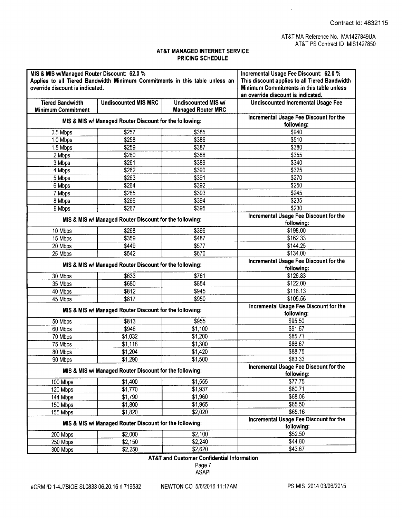$\hat{\boldsymbol{\beta}}$ 

### AT&T MANAGED INTERNET SERVICE PRICING SCHEDULE

| MIS & MIS w/Managed Router Discount: 62.0 %<br>Applies to all Tiered Bandwidth Minimum Commitments in this table unless an<br>override discount is indicated. |                                                         | Incremental Usage Fee Discount: 62.0 %<br>This discount applies to all Tiered Bandwidth<br>Minimum Commitments in this table unless<br>an override discount is indicated. |                                                      |
|---------------------------------------------------------------------------------------------------------------------------------------------------------------|---------------------------------------------------------|---------------------------------------------------------------------------------------------------------------------------------------------------------------------------|------------------------------------------------------|
| <b>Tiered Bandwidth</b><br><b>Minimum Commitment</b>                                                                                                          | <b>Undiscounted MIS MRC</b>                             | Undiscounted MIS w/<br><b>Managed Router MRC</b>                                                                                                                          | <b>Undiscounted Incremental Usage Fee</b>            |
|                                                                                                                                                               | MIS & MIS w/ Managed Router Discount for the following: |                                                                                                                                                                           | Incremental Usage Fee Discount for the<br>following: |
| 0.5 Mbps                                                                                                                                                      | \$257                                                   | \$385                                                                                                                                                                     | \$940                                                |
| 1.0 Mbps                                                                                                                                                      | \$258                                                   | \$386                                                                                                                                                                     | \$510                                                |
| 1.5 Mbps                                                                                                                                                      | \$259                                                   | \$387                                                                                                                                                                     | \$380                                                |
| 2 Mbps                                                                                                                                                        | \$260                                                   | \$388                                                                                                                                                                     | \$355                                                |
| 3 Mbps                                                                                                                                                        | \$261                                                   | \$389                                                                                                                                                                     | \$340                                                |
| 4 Mbps                                                                                                                                                        | \$262                                                   | \$390                                                                                                                                                                     | \$325                                                |
| 5 Mbps                                                                                                                                                        | \$263                                                   | \$391                                                                                                                                                                     | \$270                                                |
| 6 Mbps                                                                                                                                                        | \$264                                                   | \$392                                                                                                                                                                     | \$250                                                |
| 7 Mbps                                                                                                                                                        | \$265                                                   | \$393                                                                                                                                                                     | \$245                                                |
| 8 Mbps                                                                                                                                                        | \$266                                                   | \$394                                                                                                                                                                     | \$235                                                |
| 9 Mbps                                                                                                                                                        | \$267                                                   | \$395                                                                                                                                                                     | \$230                                                |
|                                                                                                                                                               | MIS & MIS w/ Managed Router Discount for the following: |                                                                                                                                                                           | Incremental Usage Fee Discount for the<br>following: |
| 10 Mbps                                                                                                                                                       | \$268                                                   | \$396                                                                                                                                                                     | \$198.00                                             |
| 15 Mbps                                                                                                                                                       | \$359                                                   | \$487                                                                                                                                                                     | \$162.33                                             |
| 20 Mbps                                                                                                                                                       | \$449                                                   | \$577                                                                                                                                                                     | \$144.25                                             |
| 25 Mbps                                                                                                                                                       | \$542                                                   | \$670                                                                                                                                                                     | \$134.00                                             |
|                                                                                                                                                               | MIS & MIS w/ Managed Router Discount for the following: |                                                                                                                                                                           | Incremental Usage Fee Discount for the<br>following: |
| 30 Mbps                                                                                                                                                       | \$633                                                   | \$761                                                                                                                                                                     | \$126.83                                             |
| 35 Mbps                                                                                                                                                       | \$680                                                   | \$854                                                                                                                                                                     | \$122.00                                             |
| 40 Mbps                                                                                                                                                       | \$812                                                   | \$945                                                                                                                                                                     | \$118.13                                             |
| 45 Mbps                                                                                                                                                       | \$817                                                   | \$950                                                                                                                                                                     | \$105.56                                             |
|                                                                                                                                                               | MIS & MIS w/ Managed Router Discount for the following: |                                                                                                                                                                           | Incremental Usage Fee Discount for the<br>following: |
| 50 Mbps                                                                                                                                                       | \$813                                                   | \$955                                                                                                                                                                     | \$95.50                                              |
| 60 Mbps                                                                                                                                                       | \$946                                                   | \$1,100                                                                                                                                                                   | \$91.67                                              |
| 70 Mbps                                                                                                                                                       | \$1,032                                                 | \$1,200                                                                                                                                                                   | \$85.71                                              |
| 75 Mbps                                                                                                                                                       | \$1,118                                                 | \$1,300                                                                                                                                                                   | \$86.67                                              |
| 80 Mbps                                                                                                                                                       | \$1,204                                                 | \$1,420                                                                                                                                                                   | \$88.75                                              |
| 90 Mbps                                                                                                                                                       | \$1,290                                                 | \$1,500                                                                                                                                                                   | \$83.33                                              |
| MIS & MIS w/ Managed Router Discount for the following:                                                                                                       |                                                         | Incremental Usage Fee Discount for the<br>following:                                                                                                                      |                                                      |
| 100 Mbps                                                                                                                                                      | \$1,400                                                 | \$1,555                                                                                                                                                                   | \$77.75                                              |
| 120 Mbps                                                                                                                                                      | \$1,770                                                 | \$1,937                                                                                                                                                                   | \$80.71                                              |
| 144 Mbps                                                                                                                                                      | \$1,790                                                 | \$1,960                                                                                                                                                                   | \$68.06                                              |
| 150 Mbps                                                                                                                                                      | \$1,800                                                 | \$1,965                                                                                                                                                                   | \$65.50                                              |
| 155 Mbps                                                                                                                                                      | \$1,820                                                 | \$2,020                                                                                                                                                                   | \$65.16                                              |
| MIS & MIS w/ Managed Router Discount for the following:                                                                                                       |                                                         | Incremental Usage Fee Discount for the<br>following:                                                                                                                      |                                                      |
| 200 Mbps                                                                                                                                                      | \$2,000                                                 | \$2,100                                                                                                                                                                   | \$52.50                                              |
| 250 Mbps                                                                                                                                                      | \$2,150                                                 | \$2,240                                                                                                                                                                   | \$44.80                                              |
| 300 Mbps                                                                                                                                                      | \$2,250                                                 | \$2,620                                                                                                                                                                   | \$43.67                                              |

AT&T and Customer Confidential Information

Page 7 ASAP!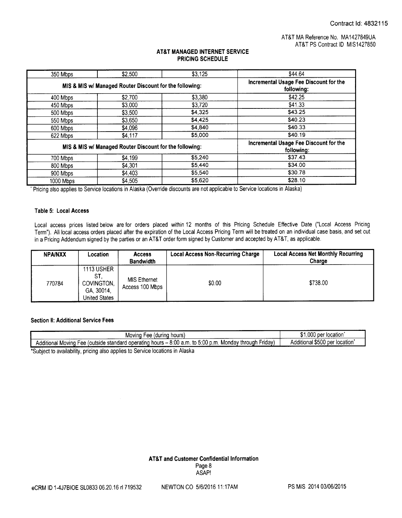| 350 Mbps                                                | \$2,500 | \$3,125                                              | \$44.64 |
|---------------------------------------------------------|---------|------------------------------------------------------|---------|
| MIS & MIS w/ Managed Router Discount for the following: |         | Incremental Usage Fee Discount for the<br>following: |         |
| 400 Mbps                                                | \$2,700 | \$3,380                                              | \$42.25 |
| 450 Mbps                                                | \$3,000 | \$3,720                                              | \$41.33 |
| 500 Mbps                                                | \$3,500 | \$4.325                                              | \$43.25 |
| 550 Mbps                                                | \$3,650 | \$4,425                                              | \$40.23 |
| 600 Mbps                                                | \$4,096 | \$4,840                                              | \$40.33 |
| 622 Mbps                                                | \$4,117 | \$5.000                                              | \$40.19 |
| MIS & MIS w/ Managed Router Discount for the following: |         | Incremental Usage Fee Discount for the<br>following: |         |
| 700 Mbps                                                | \$4,199 | \$5,240                                              | \$37.43 |
| 800 Mbps                                                | \$4,301 | \$5,440                                              | \$34.00 |
| 900 Mbps                                                | \$4,403 | \$5,540                                              | \$30.78 |
| 1000 Mbps                                               | \$4,505 | \$5,620                                              | \$28.10 |

Pricing also applies to Service locations in Alaska( Override discounts are not applicable to Service locations in Alaska)

### Table 5: Local Access

Local access prices listed below are for orders placed within 12 months of this Pricing Schedule Effective Date ("Local Access Pricing Term"). All local access orders placed after the expiration of the Local Access Pricing Term will be treated on an individual case basis, and set out in a Pricing Addendum signed by the parties or an AT&T order form signed by Customer and accepted by AT&T, as applicable.

| <b>NPA/NXX</b> | Location                                                                     | <b>Access</b><br><b>Bandwidth</b>      | <b>Local Access Non-Recurring Charge</b> | <b>Local Access Net Monthly Recurring</b><br>Charge |
|----------------|------------------------------------------------------------------------------|----------------------------------------|------------------------------------------|-----------------------------------------------------|
| 770784         | <b>1113 USHER</b><br>ST.<br>COVINGTON,<br>GA, 30014,<br><b>United States</b> | <b>MIS Ethernet</b><br>Access 100 Mbps | \$0.00                                   | \$738.00                                            |

## Section ll: Additional Service Fees

| hours<br>tdurina<br>Moving<br>-ee                                                                                                         | .000<br>location<br>, ner             |
|-------------------------------------------------------------------------------------------------------------------------------------------|---------------------------------------|
| $\frac{1}{1}$ hours – 8:00 a.m.<br>to 5:00 p.m.<br>Additional Moving<br>Friday)<br>. Mondav through<br>Fee (outside standard operating ). | Additional \$500<br>location<br>, per |
| AO IVILIA - III MILIANA - III MILIA - III LE LE Octobre lessatives la Alesles.                                                            |                                       |

Subject to availability, pricing also applies to Service locations in Alaska